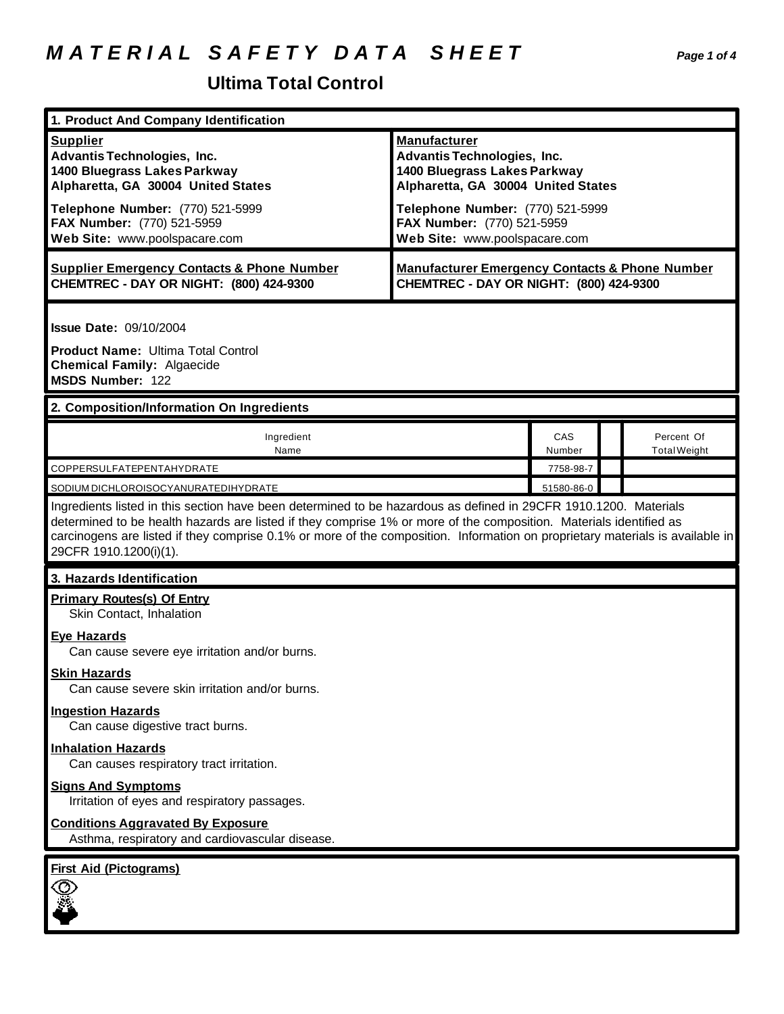# *M A T E R I A L S A F E T Y D A T A S H E E T Page 1 of 4*

## **Ultima Total Control**

| 1. Product And Company Identification                                                                                                                                                                                                                                                                                                                                                             |                                                                                                                                 |           |                                   |  |
|---------------------------------------------------------------------------------------------------------------------------------------------------------------------------------------------------------------------------------------------------------------------------------------------------------------------------------------------------------------------------------------------------|---------------------------------------------------------------------------------------------------------------------------------|-----------|-----------------------------------|--|
| <b>Supplier</b><br>Advantis Technologies, Inc.<br>1400 Bluegrass Lakes Parkway<br>Alpharetta, GA 30004 United States                                                                                                                                                                                                                                                                              | <b>Manufacturer</b><br><b>Advantis Technologies, Inc.</b><br>1400 Bluegrass Lakes Parkway<br>Alpharetta, GA 30004 United States |           |                                   |  |
| Telephone Number: (770) 521-5999<br>FAX Number: (770) 521-5959<br>Web Site: www.poolspacare.com                                                                                                                                                                                                                                                                                                   | Telephone Number: (770) 521-5999<br>FAX Number: (770) 521-5959<br>Web Site: www.poolspacare.com                                 |           |                                   |  |
| <b>Supplier Emergency Contacts &amp; Phone Number</b><br>CHEMTREC - DAY OR NIGHT: (800) 424-9300                                                                                                                                                                                                                                                                                                  | <b>Manufacturer Emergency Contacts &amp; Phone Number</b><br>CHEMTREC - DAY OR NIGHT: (800) 424-9300                            |           |                                   |  |
| <b>Issue Date: 09/10/2004</b><br><b>Product Name: Ultima Total Control</b><br><b>Chemical Family: Algaecide</b><br>MSDS Number: 122                                                                                                                                                                                                                                                               |                                                                                                                                 |           |                                   |  |
| 2. Composition/Information On Ingredients                                                                                                                                                                                                                                                                                                                                                         |                                                                                                                                 |           |                                   |  |
| Ingredient<br>Name                                                                                                                                                                                                                                                                                                                                                                                |                                                                                                                                 |           | Percent Of<br><b>Total Weight</b> |  |
| COPPERSULFATEPENTAHYDRATE                                                                                                                                                                                                                                                                                                                                                                         |                                                                                                                                 | 7758-98-7 |                                   |  |
| 51580-86-0<br>SODIUM DICHLOROISOCYANURATEDIHYDRATE                                                                                                                                                                                                                                                                                                                                                |                                                                                                                                 |           |                                   |  |
| Ingredients listed in this section have been determined to be hazardous as defined in 29CFR 1910.1200. Materials<br>determined to be health hazards are listed if they comprise 1% or more of the composition. Materials identified as<br>carcinogens are listed if they comprise 0.1% or more of the composition. Information on proprietary materials is available in<br>29CFR 1910.1200(i)(1). |                                                                                                                                 |           |                                   |  |
| 3. Hazards Identification                                                                                                                                                                                                                                                                                                                                                                         |                                                                                                                                 |           |                                   |  |
| <b>Primary Routes(s) Of Entry</b><br>Skin Contact, Inhalation                                                                                                                                                                                                                                                                                                                                     |                                                                                                                                 |           |                                   |  |
| <b>Eye Hazards</b><br>Can cause severe eye irritation and/or burns.                                                                                                                                                                                                                                                                                                                               |                                                                                                                                 |           |                                   |  |
| <b>Skin Hazards</b><br>Can cause severe skin irritation and/or burns.                                                                                                                                                                                                                                                                                                                             |                                                                                                                                 |           |                                   |  |
| <b>Ingestion Hazards</b><br>Can cause digestive tract burns.                                                                                                                                                                                                                                                                                                                                      |                                                                                                                                 |           |                                   |  |
| <b>Inhalation Hazards</b><br>Can causes respiratory tract irritation.                                                                                                                                                                                                                                                                                                                             |                                                                                                                                 |           |                                   |  |
| <b>Signs And Symptoms</b><br>Irritation of eyes and respiratory passages.                                                                                                                                                                                                                                                                                                                         |                                                                                                                                 |           |                                   |  |
| <b>Conditions Aggravated By Exposure</b><br>Asthma, respiratory and cardiovascular disease.                                                                                                                                                                                                                                                                                                       |                                                                                                                                 |           |                                   |  |
| <b>First Aid (Pictograms)</b>                                                                                                                                                                                                                                                                                                                                                                     |                                                                                                                                 |           |                                   |  |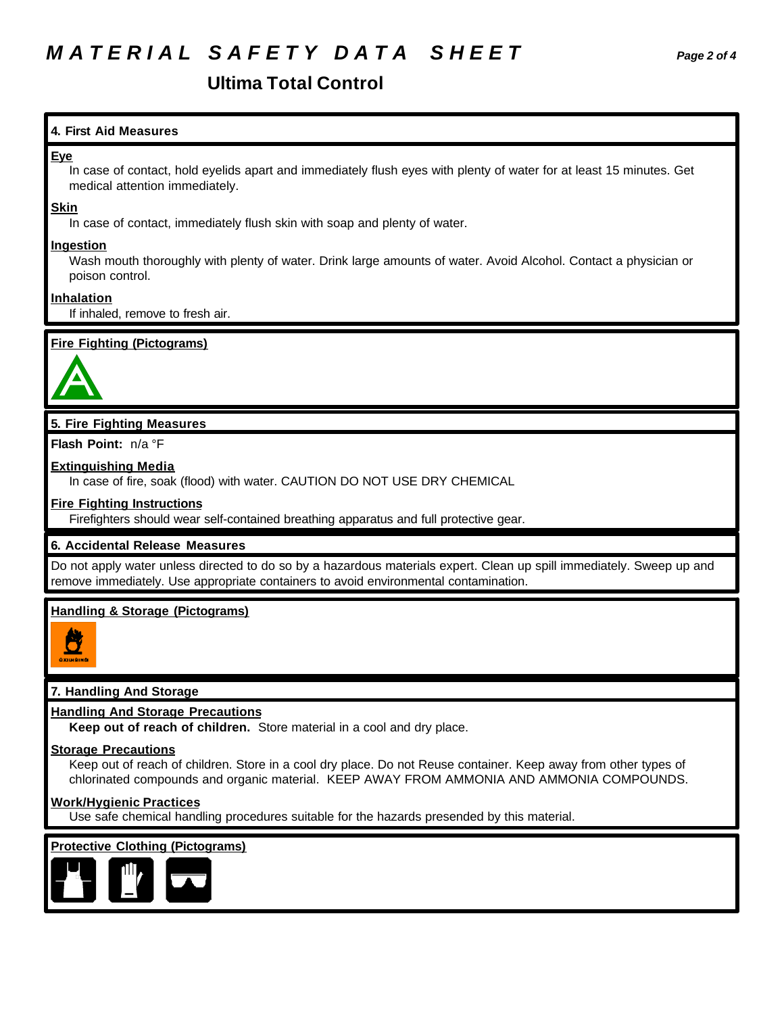# *M A T E R I A L S A F E T Y D A T A S H E E T Page 2 of 4*

### **Ultima Total Control**

#### **4. First Aid Measures**

#### **Eye**

In case of contact, hold eyelids apart and immediately flush eyes with plenty of water for at least 15 minutes. Get medical attention immediately.

#### **Skin**

In case of contact, immediately flush skin with soap and plenty of water.

#### **Ingestion**

Wash mouth thoroughly with plenty of water. Drink large amounts of water. Avoid Alcohol. Contact a physician or poison control.

#### **Inhalation**

If inhaled, remove to fresh air.

#### **Fire Fighting (Pictograms)**



### **5. Fire Fighting Measures**

**Flash Point:** n/a °F

#### **Extinguishing Media**

In case of fire, soak (flood) with water. CAUTION DO NOT USE DRY CHEMICAL

#### **Fire Fighting Instructions**

Firefighters should wear self-contained breathing apparatus and full protective gear.

#### **6. Accidental Release Measures**

Do not apply water unless directed to do so by a hazardous materials expert. Clean up spill immediately. Sweep up and remove immediately. Use appropriate containers to avoid environmental contamination.

#### **Handling & Storage (Pictograms)**



#### **7. Handling And Storage**

#### **Handling And Storage Precautions**

**Keep out of reach of children.** Store material in a cool and dry place.

#### **Storage Precautions**

Keep out of reach of children. Store in a cool dry place. Do not Reuse container. Keep away from other types of chlorinated compounds and organic material. KEEP AWAY FROM AMMONIA AND AMMONIA COMPOUNDS.

#### **Work/Hygienic Practices**

Use safe chemical handling procedures suitable for the hazards presended by this material.

#### **Protective Clothing (Pictograms)**

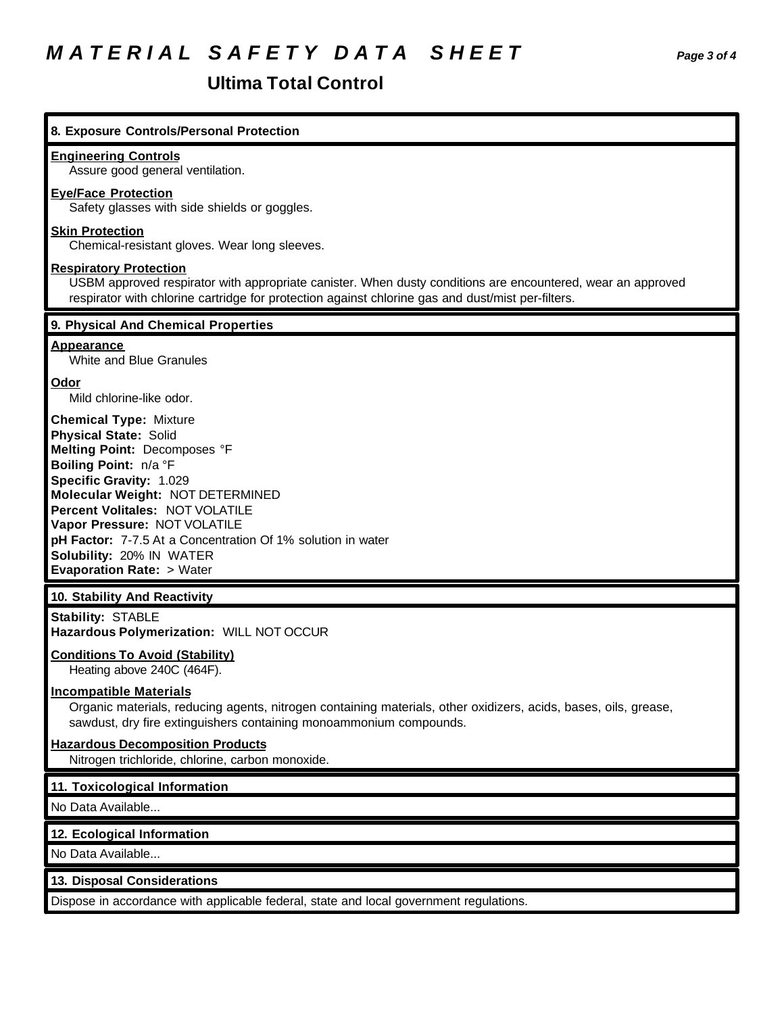## *M A T E R I A L S A F E T Y D A T A S H E E T Page 3 of 4*

## **Ultima Total Control**

| 8. Exposure Controls/Personal Protection                                                                                                                                                                                                                                                                                                                                                   |
|--------------------------------------------------------------------------------------------------------------------------------------------------------------------------------------------------------------------------------------------------------------------------------------------------------------------------------------------------------------------------------------------|
| <b>Engineering Controls</b><br>Assure good general ventilation.                                                                                                                                                                                                                                                                                                                            |
| <b>Eye/Face Protection</b><br>Safety glasses with side shields or goggles.                                                                                                                                                                                                                                                                                                                 |
| <b>Skin Protection</b><br>Chemical-resistant gloves. Wear long sleeves.                                                                                                                                                                                                                                                                                                                    |
| <b>Respiratory Protection</b><br>USBM approved respirator with appropriate canister. When dusty conditions are encountered, wear an approved<br>respirator with chlorine cartridge for protection against chlorine gas and dust/mist per-filters.                                                                                                                                          |
| 9. Physical And Chemical Properties                                                                                                                                                                                                                                                                                                                                                        |
| <b>Appearance</b><br>White and Blue Granules                                                                                                                                                                                                                                                                                                                                               |
| <b>Odor</b><br>Mild chlorine-like odor.                                                                                                                                                                                                                                                                                                                                                    |
| <b>Chemical Type: Mixture</b><br><b>Physical State: Solid</b><br>Melting Point: Decomposes °F<br>Boiling Point: n/a °F<br>Specific Gravity: 1.029<br>Molecular Weight: NOT DETERMINED<br>Percent Volitales: NOT VOLATILE<br>Vapor Pressure: NOT VOLATILE<br>pH Factor: 7-7.5 At a Concentration Of 1% solution in water<br>Solubility: 20% IN WATER<br><b>Evaporation Rate: &gt; Water</b> |
| 10. Stability And Reactivity                                                                                                                                                                                                                                                                                                                                                               |
| <b>Stability: STABLE</b><br>Hazardous Polymerization: WILL NOT OCCUR                                                                                                                                                                                                                                                                                                                       |
| <b>Conditions To Avoid (Stability)</b><br>Heating above 240C (464F).                                                                                                                                                                                                                                                                                                                       |
| <b>Incompatible Materials</b><br>Organic materials, reducing agents, nitrogen containing materials, other oxidizers, acids, bases, oils, grease,<br>sawdust, dry fire extinguishers containing monoammonium compounds.                                                                                                                                                                     |
| <b>Hazardous Decomposition Products</b><br>Nitrogen trichloride, chlorine, carbon monoxide.                                                                                                                                                                                                                                                                                                |
| 11. Toxicological Information                                                                                                                                                                                                                                                                                                                                                              |
| No Data Available                                                                                                                                                                                                                                                                                                                                                                          |
| 12. Ecological Information                                                                                                                                                                                                                                                                                                                                                                 |
| No Data Available                                                                                                                                                                                                                                                                                                                                                                          |

### **13. Disposal Considerations**

Dispose in accordance with applicable federal, state and local government regulations.